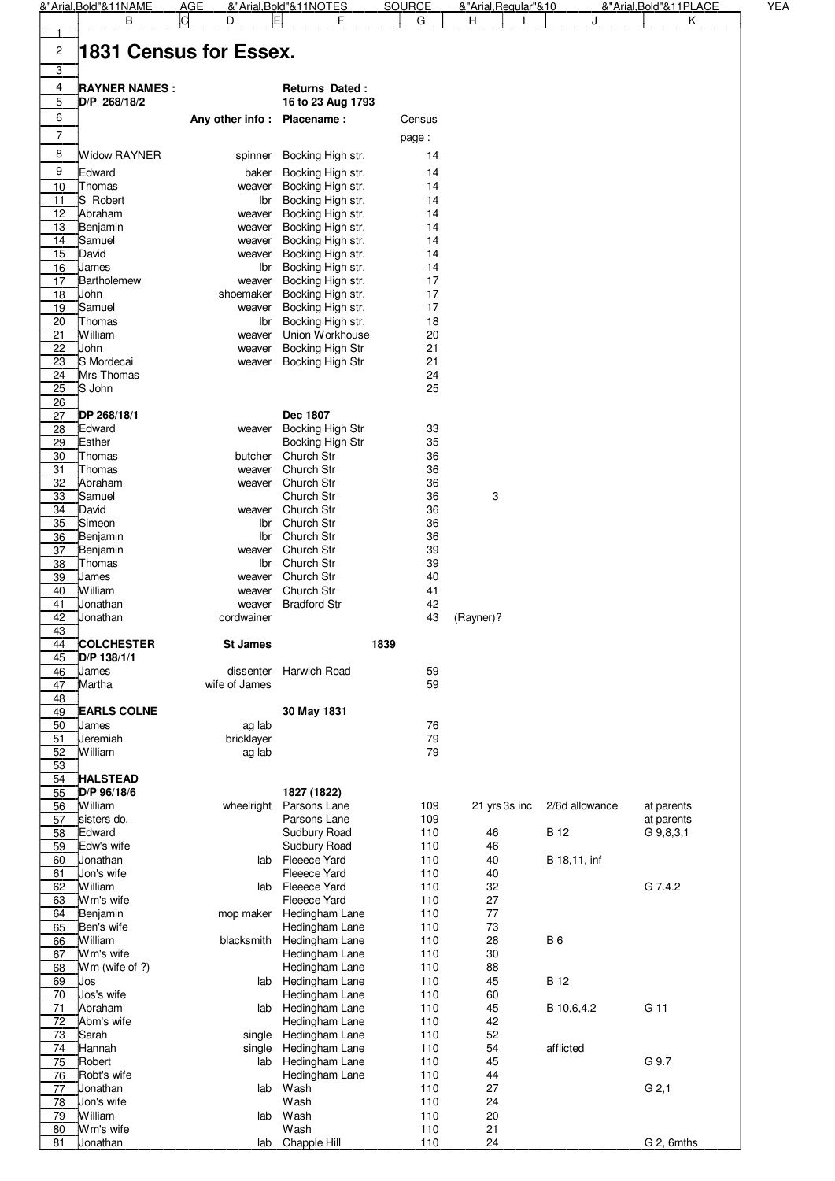|          | &"Arial, Bold"&11NAME       | AGE                    | &"Arial,Bold"&11NOTES                  | <b>SOURCE</b> |               | &"Arial, Regular"&10<br>&"Arial, Bold"&11PLACE |                          | YEA |
|----------|-----------------------------|------------------------|----------------------------------------|---------------|---------------|------------------------------------------------|--------------------------|-----|
|          | в                           | ld<br>D                | E<br>F                                 | G             | н             | J                                              | Κ                        |     |
|          |                             |                        |                                        |               |               |                                                |                          |     |
| 2        |                             | 1831 Census for Essex. |                                        |               |               |                                                |                          |     |
| 3        |                             |                        |                                        |               |               |                                                |                          |     |
| 4        | <b>RAYNER NAMES:</b>        |                        | <b>Returns Dated:</b>                  |               |               |                                                |                          |     |
| 5        | D/P 268/18/2                |                        | 16 to 23 Aug 1793                      |               |               |                                                |                          |     |
| 6        |                             | Any other info:        | Placename:                             | Census        |               |                                                |                          |     |
|          |                             |                        |                                        |               |               |                                                |                          |     |
| 7        |                             |                        |                                        | page:         |               |                                                |                          |     |
| 8        | <b>Widow RAYNER</b>         | spinner                | Bocking High str.                      | 14            |               |                                                |                          |     |
| 9        | Edward                      | baker                  | Bocking High str.                      | 14            |               |                                                |                          |     |
| 10       | Thomas                      | weaver                 | Bocking High str.                      | 14            |               |                                                |                          |     |
| 11       | S Robert                    | Ibr                    | Bocking High str.                      | 14            |               |                                                |                          |     |
| 12       | Abraham                     | weaver                 | Bocking High str.                      | 14            |               |                                                |                          |     |
| 13       | Benjamin                    | weaver                 | Bocking High str.                      | 14            |               |                                                |                          |     |
| 14       | Samuel                      | weaver                 | Bocking High str.                      | 14            |               |                                                |                          |     |
| 15       | David                       | weaver                 | Bocking High str.                      | 14            |               |                                                |                          |     |
| 16<br>17 | James<br><b>Bartholemew</b> | lbr<br>weaver          | Bocking High str.<br>Bocking High str. | 14<br>17      |               |                                                |                          |     |
| 18       | John                        | shoemaker              | Bocking High str.                      | 17            |               |                                                |                          |     |
| 19       | Samuel                      | weaver                 | Bocking High str.                      | 17            |               |                                                |                          |     |
| 20       | Thomas                      | lbr                    | Bocking High str.                      | 18            |               |                                                |                          |     |
| 21       | William                     | weaver                 | Union Workhouse                        | 20            |               |                                                |                          |     |
| 22       | John                        | weaver                 | Bocking High Str                       | 21            |               |                                                |                          |     |
| 23       | S Mordecai                  | weaver                 | Bocking High Str                       | 21            |               |                                                |                          |     |
| 24       | Mrs Thomas                  |                        |                                        | 24            |               |                                                |                          |     |
| 25       | S John                      |                        |                                        | 25            |               |                                                |                          |     |
| 26       |                             |                        |                                        |               |               |                                                |                          |     |
| 27       | DP 268/18/1                 |                        | Dec 1807                               |               |               |                                                |                          |     |
| 28       | Edward                      | weaver                 | Bocking High Str                       | 33            |               |                                                |                          |     |
| 29       | <b>Esther</b>               |                        | Bocking High Str                       | 35            |               |                                                |                          |     |
| 30       | Thomas<br>Thomas            | butcher                | Church Str<br>Church Str               | 36<br>36      |               |                                                |                          |     |
| 31<br>32 | Abraham                     | weaver<br>weaver       | Church Str                             | 36            |               |                                                |                          |     |
| 33       | Samuel                      |                        | Church Str                             | 36            | 3             |                                                |                          |     |
| 34       | David                       | weaver                 | Church Str                             | 36            |               |                                                |                          |     |
| 35       | Simeon                      | lbr                    | Church Str                             | 36            |               |                                                |                          |     |
| 36       | Benjamin                    | lbr                    | Church Str                             | 36            |               |                                                |                          |     |
| 37       | Benjamin                    | weaver                 | Church Str                             | 39            |               |                                                |                          |     |
| 38       | Thomas                      | lbr                    | Church Str                             | 39            |               |                                                |                          |     |
| 39       | James                       | weaver                 | Church Str                             | 40            |               |                                                |                          |     |
| 40       | William                     | weaver                 | Church Str                             | 41            |               |                                                |                          |     |
| 41       | Jonathan                    | weaver                 | <b>Bradford Str</b>                    | 42            |               |                                                |                          |     |
| 42       | Jonathan                    | cordwainer             |                                        | 43            | (Rayner)?     |                                                |                          |     |
| 43<br>44 | <b>COLCHESTER</b>           | <b>St James</b>        |                                        | 1839          |               |                                                |                          |     |
| 45       | D/P 138/1/1                 |                        |                                        |               |               |                                                |                          |     |
| 46       | James                       | dissenter              | Harwich Road                           | 59            |               |                                                |                          |     |
| 47       | Martha                      | wife of James          |                                        | 59            |               |                                                |                          |     |
| 48       |                             |                        |                                        |               |               |                                                |                          |     |
| 49       | <b>EARLS COLNE</b>          |                        | 30 May 1831                            |               |               |                                                |                          |     |
| 50       | James                       | ag lab                 |                                        | 76            |               |                                                |                          |     |
| 51       | Jeremiah                    | bricklayer             |                                        | 79            |               |                                                |                          |     |
| 52       | William                     | ag lab                 |                                        | 79            |               |                                                |                          |     |
| 53       |                             |                        |                                        |               |               |                                                |                          |     |
| 54       | <b>HALSTEAD</b>             |                        |                                        |               |               |                                                |                          |     |
| 55       | D/P 96/18/6<br>William      | wheelright             | 1827 (1822)<br>Parsons Lane            | 109           | 21 yrs 3s inc | 2/6d allowance                                 |                          |     |
| 56<br>57 | sisters do.                 |                        | Parsons Lane                           | 109           |               |                                                | at parents<br>at parents |     |
| 58       | Edward                      |                        | Sudbury Road                           | 110           | 46            | <b>B</b> 12                                    | G 9,8,3,1                |     |
| 59       | Edw's wife                  |                        | Sudbury Road                           | 110           | 46            |                                                |                          |     |
| 60       | Jonathan                    | lab                    | Fleeece Yard                           | 110           | 40            | B 18,11, inf                                   |                          |     |
| 61       | Jon's wife                  |                        | Fleeece Yard                           | 110           | 40            |                                                |                          |     |
| 62       | William                     | lab                    | Fleeece Yard                           | 110           | 32            |                                                | G 7.4.2                  |     |
| 63       | Wm's wife                   |                        | Fleeece Yard                           | 110           | 27            |                                                |                          |     |
| 64       | Benjamin                    | mop maker              | Hedingham Lane                         | 110           | 77            |                                                |                          |     |
| 65       | Ben's wife                  |                        | Hedingham Lane                         | 110           | 73            |                                                |                          |     |
| 66       | William                     | blacksmith             | Hedingham Lane                         | 110           | 28            | <b>B6</b>                                      |                          |     |
| 67       | Wm's wife                   |                        | Hedingham Lane                         | 110           | 30            |                                                |                          |     |
| 68<br>69 | Wm (wife of ?)<br>Jos       | lab                    | Hedingham Lane<br>Hedingham Lane       | 110<br>110    | 88<br>45      | <b>B</b> 12                                    |                          |     |
| 70       | Jos's wife                  |                        | Hedingham Lane                         | 110           | 60            |                                                |                          |     |
| 71       | Abraham                     | lab                    | Hedingham Lane                         | 110           | 45            | B 10,6,4,2                                     | G 11                     |     |
| 72       | Abm's wife                  |                        | Hedingham Lane                         | 110           | 42            |                                                |                          |     |
| 73       | Sarah                       | single                 | Hedingham Lane                         | 110           | 52            |                                                |                          |     |
| 74       | Hannah                      | single                 | Hedingham Lane                         | 110           | 54            | afflicted                                      |                          |     |
| 75       | Robert                      | lab                    | Hedingham Lane                         | 110           | 45            |                                                | G 9.7                    |     |
| 76       | Robt's wife                 |                        | Hedingham Lane                         | 110           | 44            |                                                |                          |     |
| 77       | Jonathan                    | lab                    | Wash                                   | 110           | 27            |                                                | G <sub>2,1</sub>         |     |
| 78       | Jon's wife                  |                        | Wash                                   | 110           | 24            |                                                |                          |     |
| 79       | William                     | lab                    | Wash                                   | 110           | 20            |                                                |                          |     |
| 80<br>81 | Wm's wife<br>Jonathan       | lab                    | Wash<br>Chapple Hill                   | 110<br>110    | 21<br>24      |                                                | G 2, 6mths               |     |
|          |                             |                        |                                        |               |               |                                                |                          |     |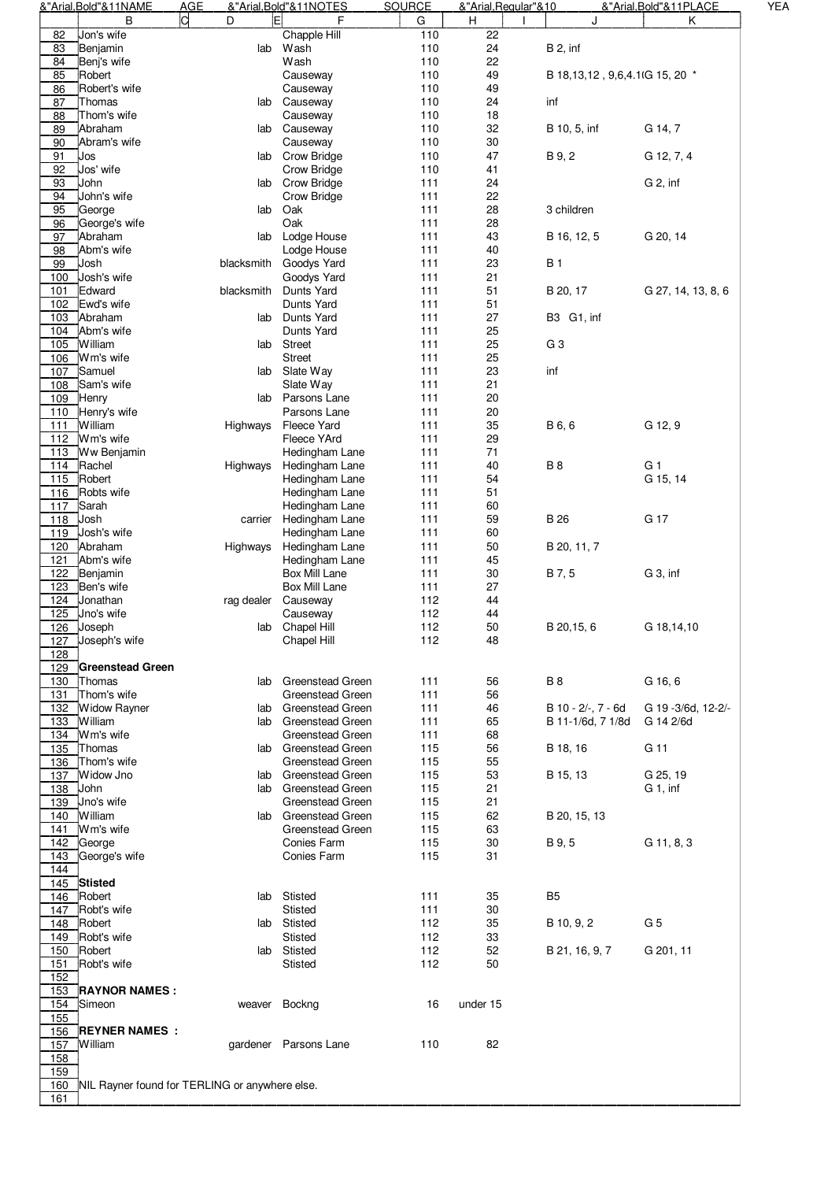|     | &"Arial, Bold"&11NAME   | <b>AGE</b>                                     | &"Arial, Bold"&11NOTES  | <b>SOURCE</b> | &"Arial, Regular" & 10 |                                      | &"Arial, Bold"&11PLACE |
|-----|-------------------------|------------------------------------------------|-------------------------|---------------|------------------------|--------------------------------------|------------------------|
|     | в                       | ld<br>Fl<br>D                                  | F                       | G             | H                      | J                                    | Κ                      |
| 82  | Jon's wife              |                                                | Chapple Hill            | 110           | 22                     |                                      |                        |
| 83  | Benjamin                | lab                                            | Wash                    | 110           | 24                     | <b>B</b> 2, inf                      |                        |
| 84  | Benj's wife             |                                                | Wash                    | 110           | 22                     |                                      |                        |
| 85  | Robert                  |                                                | Causeway                | 110           | 49                     | B 18, 13, 12, 9, 6, 4. 1 (G 15, 20 * |                        |
| 86  | Robert's wife           |                                                | Causeway                | 110           | 49                     |                                      |                        |
| 87  | Thomas                  | lab                                            | Causeway                | 110           | 24                     | inf                                  |                        |
| 88  | Thom's wife             |                                                | Causeway                | 110           | 18                     |                                      |                        |
| 89  | Abraham                 | lab                                            | Causeway                | 110           | 32                     | B 10, 5, inf                         | G 14, 7                |
|     | Abram's wife            |                                                |                         | 110           | 30                     |                                      |                        |
| 90  |                         |                                                | Causeway                |               |                        |                                      |                        |
| 91  | Jos                     |                                                | lab Crow Bridge         | 110           | 47                     | B 9, 2                               | G 12, 7, 4             |
| 92  | Jos' wife               |                                                | <b>Crow Bridge</b>      | 110           | 41                     |                                      |                        |
| 93  | John                    | lab                                            | <b>Crow Bridge</b>      | 111           | 24                     |                                      | G 2, inf               |
| 94  | John's wife             |                                                | Crow Bridge             | 111           | 22                     |                                      |                        |
| 95  | George                  | lab                                            | Oak                     | 111           | 28                     | 3 children                           |                        |
| 96  | George's wife           |                                                | Oak                     | 111           | 28                     |                                      |                        |
| 97  | Abraham                 | lab                                            | Lodge House             | 111           | 43                     | B 16, 12, 5                          | G 20, 14               |
| 98  | Abm's wife              |                                                | Lodge House             | 111           | 40                     |                                      |                        |
| 99  | Josh                    | blacksmith                                     | Goodys Yard             | 111           | 23                     | <b>B</b> 1                           |                        |
| 100 | Josh's wife             |                                                | Goodys Yard             | 111           | 21                     |                                      |                        |
| 101 | Edward                  | blacksmith                                     | Dunts Yard              | 111           | 51                     | B 20, 17                             | G 27, 14, 13, 8, 6     |
|     | Ewd's wife              |                                                |                         |               |                        |                                      |                        |
| 102 |                         |                                                | Dunts Yard              | 111           | 51                     |                                      |                        |
| 103 | Abraham                 | lab                                            | Dunts Yard              | 111           | 27                     | B3 G1, inf                           |                        |
| 104 | Abm's wife              |                                                | Dunts Yard              | 111           | 25                     |                                      |                        |
| 105 | William                 | lab                                            | Street                  | 111           | 25                     | G <sub>3</sub>                       |                        |
| 106 | Wm's wife               |                                                | <b>Street</b>           | 111           | 25                     |                                      |                        |
| 107 | Samuel                  | lab                                            | Slate Way               | 111           | 23                     | inf                                  |                        |
| 108 | Sam's wife              |                                                | Slate Way               | 111           | 21                     |                                      |                        |
| 109 | Henry                   | lab                                            | Parsons Lane            | 111           | 20                     |                                      |                        |
| 110 | Henry's wife            |                                                | Parsons Lane            | 111           | 20                     |                                      |                        |
| 111 | William                 | Highways                                       | <b>Fleece Yard</b>      | 111           | 35                     | B 6, 6                               | G 12, 9                |
|     | 112 Wm's wife           |                                                | Fleece YArd             | 111           | 29                     |                                      |                        |
|     |                         |                                                |                         |               |                        |                                      |                        |
| 113 | Ww Benjamin             |                                                | Hedingham Lane          | 111           | 71                     |                                      |                        |
| 114 | Rachel                  | Highways                                       | Hedingham Lane          | 111           | 40                     | <b>B8</b>                            | G <sub>1</sub>         |
| 115 | Robert                  |                                                | Hedingham Lane          | 111           | 54                     |                                      | G 15, 14               |
| 116 | Robts wife              |                                                | Hedingham Lane          | 111           | 51                     |                                      |                        |
| 117 | Sarah                   |                                                | Hedingham Lane          | 111           | 60                     |                                      |                        |
| 118 | Josh                    | carrier                                        | Hedingham Lane          | 111           | 59                     | <b>B</b> 26                          | G 17                   |
| 119 | Josh's wife             |                                                | Hedingham Lane          | 111           | 60                     |                                      |                        |
| 120 | Abraham                 | Highways                                       | Hedingham Lane          | 111           | 50                     | B 20, 11, 7                          |                        |
| 121 | Abm's wife              |                                                | Hedingham Lane          | 111           | 45                     |                                      |                        |
| 122 | Benjamin                |                                                | Box Mill Lane           | 111           | 30                     | B 7, 5                               | G 3, inf               |
|     |                         |                                                |                         |               |                        |                                      |                        |
| 123 | Ben's wife              |                                                | Box Mill Lane           | 111           | 27                     |                                      |                        |
| 124 | Jonathan                | rag dealer                                     | Causeway                | 112           | 44                     |                                      |                        |
| 125 | Jno's wife              |                                                | Causeway                | 112           | 44                     |                                      |                        |
|     | $\overline{126}$ Joseph |                                                | lab Chapel Hill         | 112           | 50                     | B 20,15, 6                           | G 18,14,10             |
| 127 | Joseph's wife           |                                                | Chapel Hill             | 112           | 48                     |                                      |                        |
| 128 |                         |                                                |                         |               |                        |                                      |                        |
| 129 | <b>Greenstead Green</b> |                                                |                         |               |                        |                                      |                        |
| 130 | Thomas                  | lab                                            | Greenstead Green        | 111           | 56                     | <b>B8</b>                            | G 16, 6                |
| 131 | Thom's wife             |                                                | Greenstead Green        | 111           | 56                     |                                      |                        |
| 132 | <b>Widow Rayner</b>     | lab                                            | <b>Greenstead Green</b> | 111           | 46                     | B 10 - 2/-, 7 - 6d                   | G 19 - 3/6d, 12-2/-    |
| 133 | William                 |                                                |                         | 111           | 65                     | B 11-1/6d, 7 1/8d                    | G 14 2/6d              |
|     |                         |                                                | lab Greenstead Green    |               |                        |                                      |                        |
| 134 | Wm's wife               |                                                | Greenstead Green        | 111           | 68                     |                                      |                        |
| 135 | Thomas                  |                                                | lab Greenstead Green    | 115           | 56                     | B 18, 16                             | G 11                   |
| 136 | Thom's wife             |                                                | Greenstead Green        | 115           | 55                     |                                      |                        |
| 137 | Widow Jno               | lab                                            | <b>Greenstead Green</b> | 115           | 53                     | B 15, 13                             | G 25, 19               |
| 138 | John                    |                                                | lab Greenstead Green    | 115           | 21                     |                                      | G 1, inf               |
| 139 | Jno's wife              |                                                | Greenstead Green        | 115           | 21                     |                                      |                        |
|     | 140 William             |                                                | lab Greenstead Green    | 115           | 62                     | B 20, 15, 13                         |                        |
| 141 | Wm's wife               |                                                | Greenstead Green        | 115           | 63                     |                                      |                        |
|     | 142 George              |                                                | Conies Farm             | 115           | 30                     | B 9, 5                               | G 11, 8, 3             |
| 143 | George's wife           |                                                | Conies Farm             | 115           | 31                     |                                      |                        |
| 144 |                         |                                                |                         |               |                        |                                      |                        |
|     | 145 Stisted             |                                                |                         |               |                        |                                      |                        |
|     |                         |                                                |                         |               |                        |                                      |                        |
|     | 146 Robert              |                                                | lab Stisted             | 111           | 35                     | B <sub>5</sub>                       |                        |
|     | 147 Robt's wife         |                                                | Stisted                 | 111           | 30                     |                                      |                        |
| 148 | Robert                  |                                                | lab Stisted             | 112           | 35                     | B 10, 9, 2                           | G <sub>5</sub>         |
| 149 | Robt's wife             |                                                | Stisted                 | 112           | 33                     |                                      |                        |
| 150 | Robert                  |                                                | lab Stisted             | 112           | 52                     | B 21, 16, 9, 7                       | G 201, 11              |
| 151 | Robt's wife             |                                                | Stisted                 | 112           | 50                     |                                      |                        |
| 152 |                         |                                                |                         |               |                        |                                      |                        |
| 153 | <b>RAYNOR NAMES:</b>    |                                                |                         |               |                        |                                      |                        |
| 154 | Simeon                  | weaver Bockng                                  |                         | 16            | under 15               |                                      |                        |
| 155 |                         |                                                |                         |               |                        |                                      |                        |
| 156 | <b>REYNER NAMES:</b>    |                                                |                         |               |                        |                                      |                        |
|     |                         |                                                |                         |               |                        |                                      |                        |
| 157 | William                 |                                                | gardener Parsons Lane   | 110           | 82                     |                                      |                        |
| 158 |                         |                                                |                         |               |                        |                                      |                        |
| 159 |                         |                                                |                         |               |                        |                                      |                        |
| 160 |                         | NIL Rayner found for TERLING or anywhere else. |                         |               |                        |                                      |                        |
| 161 |                         |                                                |                         |               |                        |                                      |                        |
|     |                         |                                                |                         |               |                        |                                      |                        |

YEA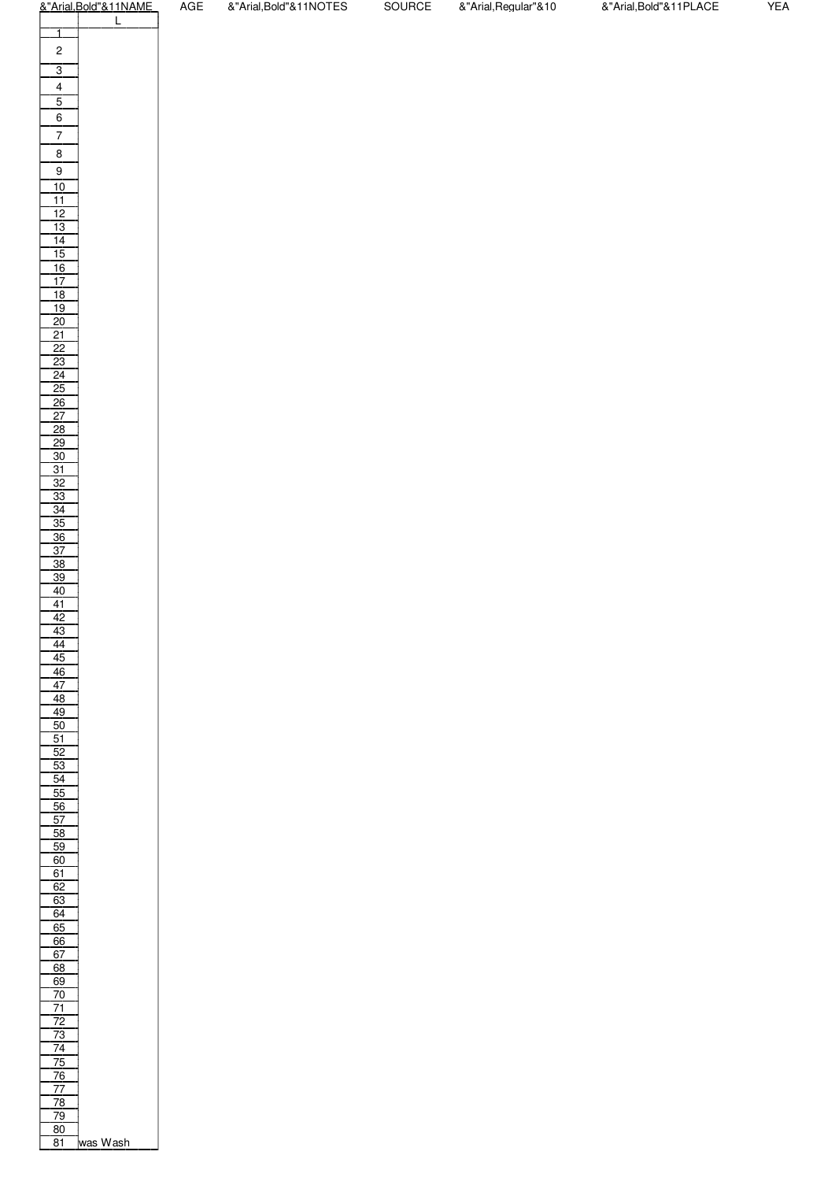|                       | &"Arial, Bold"&11N |
|-----------------------|--------------------|
| 1                     | Ĺ                  |
| 2                     |                    |
|                       |                    |
| 3                     |                    |
| 4                     |                    |
| 5                     |                    |
| 6                     |                    |
| 7                     |                    |
| 8                     |                    |
| 9                     |                    |
| 10                    |                    |
| 11                    |                    |
| 12<br><u> 13</u>      |                    |
| 14                    |                    |
| 15                    |                    |
| 16                    |                    |
| $\overline{17}$       |                    |
| 18                    |                    |
| 19<br>20              |                    |
| 21                    |                    |
| $\overline{2}2$       |                    |
| 23                    |                    |
| 24                    |                    |
| 25                    |                    |
| 26<br>$\overline{27}$ |                    |
| 28                    |                    |
| <u>29</u>             |                    |
| 30                    |                    |
| 31                    |                    |
| 32                    |                    |
| 33<br>.<br>34         |                    |
| 35                    |                    |
| 36                    |                    |
| 37                    |                    |
| 38                    |                    |
| 39                    |                    |
| 40                    |                    |
| 41<br>42              |                    |
| 43                    |                    |
| 44                    |                    |
| 45                    |                    |
| 46                    |                    |
| $\overline{47}$       |                    |
| 48<br>49              |                    |
| 50                    |                    |
| 51                    |                    |
| $\overline{52}$       |                    |
| 53                    |                    |
| 54<br>55              |                    |
| 56                    |                    |
| 57                    |                    |
| 58                    |                    |
| 59                    |                    |
| 60                    |                    |
| 61<br>62              |                    |
| <u>63</u>             |                    |
| $\overline{64}$       |                    |
| 65                    |                    |
| 66                    |                    |
| 67                    |                    |
| 68<br>69              |                    |
| 70                    |                    |
| 71                    |                    |
| 72                    |                    |
| $\frac{73}{2}$        |                    |
| 74                    |                    |
| 75<br><u>76</u>       |                    |
| 77                    |                    |
| 78                    |                    |
| <u>79</u>             |                    |
| 80                    |                    |
| 81                    | <i>w</i> as Wash   |